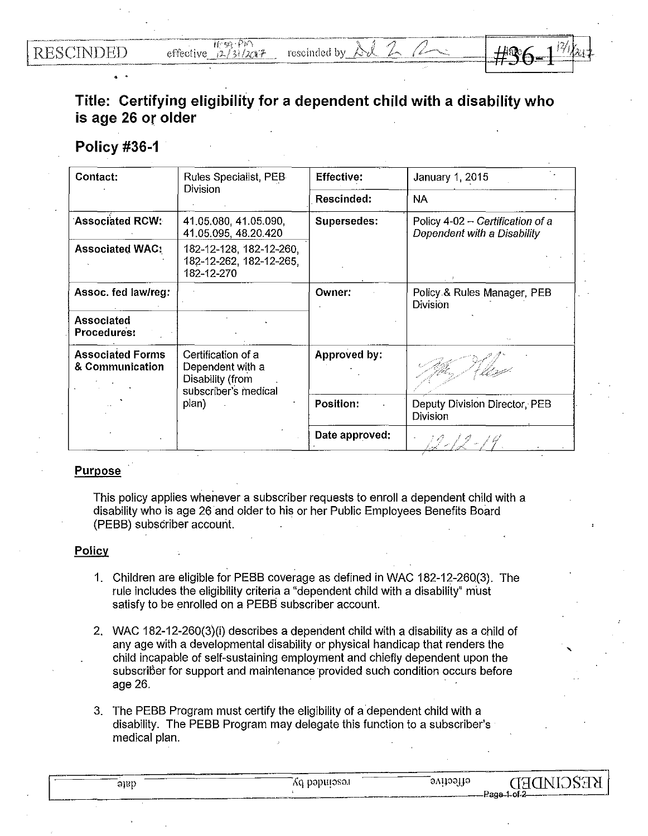. .



## **Title: Certifying eligibility for a dependent child with a disability who is age 26 or older** ·

## **Policy #36-1**

| Contact:                                   | Rules Specialist, PEB<br><b>Division</b>                                                    | <b>Effective:</b> | January 1, 2015                                                 |
|--------------------------------------------|---------------------------------------------------------------------------------------------|-------------------|-----------------------------------------------------------------|
|                                            |                                                                                             | Rescinded:        | <b>NA</b>                                                       |
| <b>Associated RCW:</b>                     | 41.05.080, 41.05.090,<br>41.05.095, 48.20.420                                               | Supersedes:       | Policy 4-02 - Certification of a<br>Dependent with a Disability |
| <b>Associated WAC:</b>                     | 182-12-128, 182-12-260,<br>182-12-262, 182-12-265,<br>182-12-270                            |                   |                                                                 |
| Assoc. fed law/reg:                        |                                                                                             | Owner:            | Policy & Rules Manager, PEB<br>Division                         |
| Associated<br><b>Procedures:</b>           |                                                                                             |                   |                                                                 |
| <b>Associated Forms</b><br>& Communication | Certification of a<br>Dependent with a<br>Disability (from<br>subscriber's medical<br>plan) | Approved by:      |                                                                 |
|                                            |                                                                                             | <b>Position:</b>  | Deputy Division Director, PEB<br>Division                       |
|                                            |                                                                                             | Date approved:    |                                                                 |

## Purpose

This policy applies whenever a subscriber requests to enroll a dependent child with a disability who is age 26 and older to his or her Public Employees Benefits Board (PEBB) subscriber account.

## **Policy**

- 1. Children are eligible for PEBB coverage as defined in WAC 182-12-260(3). The rule includes the eligibility criteria a "dependent child with a disability" must satisfy to be enrolled on a PEBB subscriber account.
- 2. WAC 182-12-260(3)(i) describes a dependent child with a disability as a child of any age with a developmental disability or physical handicap that renders the child incapable of self-sustaining employment and chiefly dependent upon the subscriber for support and maintenance provided such condition occurs before age 26.
- 3. The PEBB Program must certify the eligibility of a dependent child with a disability. The PEBB Program may delegate this function to a subscriber's medical plan.